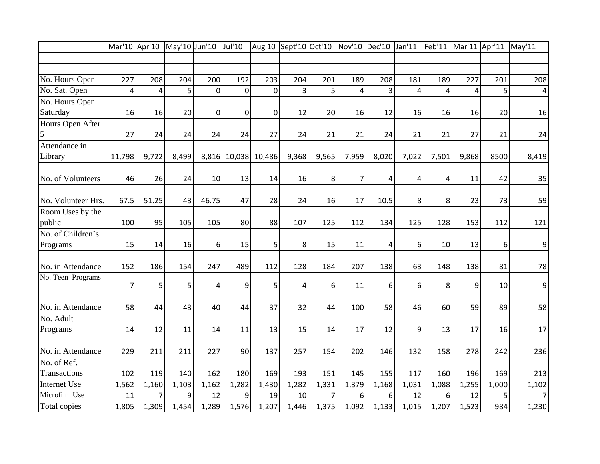|                    | Mar'10 Apr'10  |                | May'10 Jun'10 |                | Jul'10           | Aug'10         | Sept'10 Oct'10 |                | Nov'10   Dec'10   Jan'11 |       |                | Feb'11 | Mar'11 Apr'11 |       | May'11         |
|--------------------|----------------|----------------|---------------|----------------|------------------|----------------|----------------|----------------|--------------------------|-------|----------------|--------|---------------|-------|----------------|
|                    |                |                |               |                |                  |                |                |                |                          |       |                |        |               |       |                |
|                    |                |                |               |                |                  |                |                |                |                          |       |                |        |               |       |                |
| No. Hours Open     | 227            | 208            | 204           | 200            | 192              | 203            | 204            | 201            | 189                      | 208   | 181            | 189    | 227           | 201   | 208            |
| No. Sat. Open      | $\overline{4}$ | 4              | 5             | $\mathbf 0$    | $\mathbf 0$      | $\overline{0}$ | 3              | 5              | 4                        | 3     | $\overline{4}$ | 4      | 4             | 5     | 4              |
| No. Hours Open     |                |                |               |                |                  |                |                |                |                          |       |                |        |               |       |                |
| Saturday           | 16             | 16             | 20            | $\overline{0}$ | $\boldsymbol{0}$ | $\mathbf 0$    | 12             | 20             | 16                       | 12    | 16             | 16     | 16            | 20    | 16             |
| Hours Open After   |                |                |               |                |                  |                |                |                |                          |       |                |        |               |       |                |
| 5                  | 27             | 24             | 24            | 24             | 24               | 27             | 24             | 21             | 21                       | 24    | 21             | 21     | 27            | 21    | 24             |
| Attendance in      |                |                |               |                |                  |                |                |                |                          |       |                |        |               |       |                |
| Library            | 11,798         | 9,722          | 8,499         | 8,816          |                  | 10,038 10,486  | 9,368          | 9,565          | 7,959                    | 8,020 | 7,022          | 7,501  | 9,868         | 8500  | 8,419          |
| No. of Volunteers  | 46             | 26             | 24            | 10             | 13               | 14             | 16             | 8              | $\overline{7}$           | 4     | 4              | 4      | 11            | 42    | 35             |
| No. Volunteer Hrs. | 67.5           | 51.25          | 43            | 46.75          | 47               | 28             | 24             | 16             | 17                       | 10.5  | 8              | 8      | 23            | 73    | 59             |
| Room Uses by the   |                |                |               |                |                  |                |                |                |                          |       |                |        |               |       |                |
| public             | 100            | 95             | 105           | 105            | 80               | 88             | 107            | 125            | 112                      | 134   | 125            | 128    | 153           | 112   | 121            |
| No. of Children's  |                |                |               |                |                  |                |                |                |                          |       |                |        |               |       |                |
| Programs           | 15             | 14             | 16            | 6              | 15               | 5              | 8              | 15             | 11                       | 4     | 6              | 10     | 13            | 6     | $\overline{9}$ |
| No. in Attendance  | 152            | 186            | 154           | 247            | 489              | 112            | 128            | 184            | 207                      | 138   | 63             | 148    | 138           | 81    | 78             |
| No. Teen Programs  |                |                |               |                |                  |                |                |                |                          |       |                |        |               |       |                |
|                    | 7              | 5              | 5             | 4              | 9                | 5              | 4              | 6              | 11                       | 6     | 6              | 8      | 9             | 10    | $\overline{9}$ |
| No. in Attendance  | 58             | 44             | 43            | 40             | 44               | 37             | 32             | 44             | 100                      | 58    | 46             | 60     | 59            | 89    | 58             |
| No. Adult          |                |                |               |                |                  |                |                |                |                          |       |                |        |               |       |                |
| Programs           | 14             | 12             | 11            | 14             | 11               | 13             | 15             | 14             | 17                       | 12    | 9              | 13     | 17            | 16    | 17             |
| No. in Attendance  | 229            | 211            | 211           | 227            | 90               | 137            | 257            | 154            | 202                      | 146   | 132            | 158    | 278           | 242   | 236            |
| No. of Ref.        |                |                |               |                |                  |                |                |                |                          |       |                |        |               |       |                |
| Transactions       | 102            | 119            | 140           | 162            | 180              | 169            | 193            | 151            | 145                      | 155   | 117            | 160    | 196           | 169   | 213            |
| Internet Use       | 1,562          | 1,160          | 1,103         | 1,162          | 1,282            | 1,430          | 1,282          | 1,331          | 1,379                    | 1,168 | 1,031          | 1,088  | 1,255         | 1,000 | 1,102          |
| Microfilm Use      | 11             | $\overline{7}$ | 9             | 12             | 9                | 19             | 10             | $\overline{7}$ | 6                        | 6     | 12             | 6      | 12            | 5     | 7 <sup>1</sup> |
| Total copies       | 1,805          | 1,309          | 1,454         | 1,289          | 1,576            | 1,207          | 1,446          | 1,375          | 1,092                    | 1,133 | 1,015          | 1,207  | 1,523         | 984   | 1,230          |